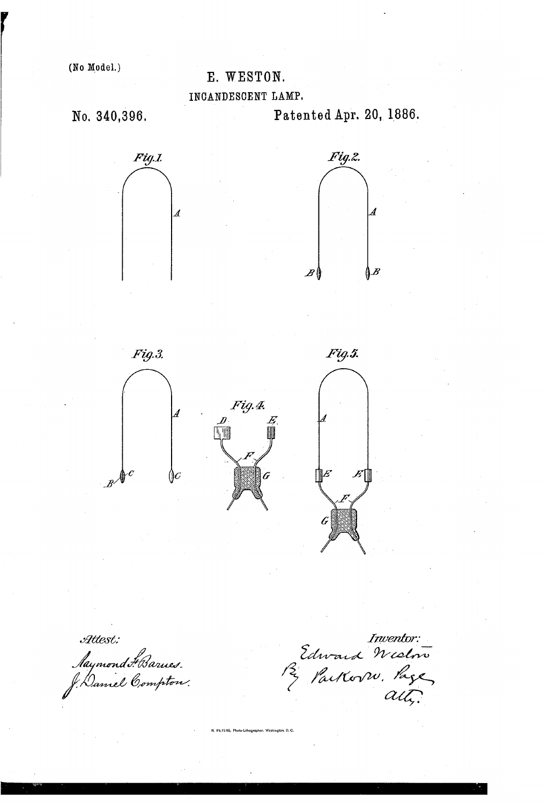# **(No Model.) E.** WEXTON,

**INCANDESCENT LAMP,** 

No. **340,396,** Patented **Apr.** 20, 1886.



 $\mathcal{H}$ ttest:

Jaymond Harnes.<br>Dannel Compton.

Inventor:<br>Edward Wielwo<br>P2 ParkovW. Page

Photo-Lithographer, Washington, D. C.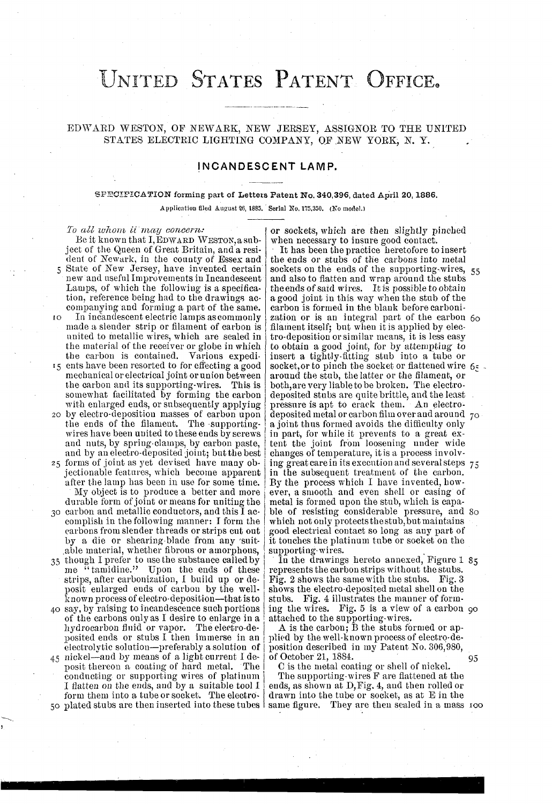# UNITED STATES PATENT OFFICE.

### EDWARD WESTON, OF NEWARK, NEW JERSEY, ASSIGNOR TO THE UNITED STATES ELECTRIC LIGHTING COMPANY, OF NEW YORK, N. Y.

### INCANDESCENT LAMP.

#### SPECIFICATION forming part of Letters Patent No. 340,396, dated April 20, 1886.

Application filed August 26, 1885. Serial No. 175,350. (No model.)

To all whom it may concern: Be it known that I, EDWARD WESTON, a subject of the Queen of Great Britain, and a resident of Newark, in the county of Essex and 5 State of New Jersey, have invented certain new and useful Improvements in Incandescent Lamps, of which the following is a specification, reference being had to the drawings accompanying and forming a part of the same. In incandescent electric lamps as commonly TO. made a slender strip or filament of carbon is united to metallic wires, which are sealed in the material of the receiver or globe in which the carbon is contained. Various expedi-15 ents have been resorted to for effecting a good mechanical or electrical joint or union between the carbon and its supporting-wires. This is somewhat facilitated by forming the carbon with enlarged ends, or subsequently applying 20 by electro-deposition masses of carbon upon the ends of the filament. The supportingwires have been united to these ends by screws and nuts, by spring-clamps, by carbon paste, and by an electro-deposited joint; but the best 25 forms of joint as yet devised have many objectionable features, which become apparent

after the lamp has been in use for some time. My object is to produce a better and more durable form of joint or means for uniting the 30 carbon and metallic conductors, and this I accomplish in the following manner: I form the carbons from slender threads or strips cut out

- by a die or shearing-blade from any suitable material, whether fibrous or amorphous,
- 35 though I prefer to use the substance called by<br>me "tamidine." Upon the ends of these<br>strips, after carbonization, I build up or deposit enlarged ends of carbon by the wellknown process of electro-deposition-that is to
- 40 say, by raising to incandescence such portions of the carbons only as I desire to enlarge in a hydrocarbon fluid or vapor. The electro-de-<br>posited ends or stubs I then immerse in an electrolytic solution-preferably a solution of 45 nickel-and by means of a light current I de-
- posit thereon a coating of hard metal. The conducting or supporting wires of platinum I flatten on the ends, and by a suitable tool I form them into a tube or socket. The electro-

or sockets, which are then slightly pinched when necessary to insure good contact.

It has been the practice heretofore to insert the ends or stubs of the carbons into metal sockets on the ends of the supporting wires, 55 and also to flatten and wrap around the stubs<br>the ends of said wires. It is possible to obtain a good joint in this way when the stub of the carbon is formed in the blank before carbonization or is an integral part of the carbon 60 filament itself; but when it is applied by electro-deposition or similar means, it is less easy to obtain a good joint, for by attempting to insert a tightly fitting stub into a tube or socket, or to pinch the socket or flattened wire 6. around the stub, the latter or the filament, or<br>both, are very liable to be broken. The electrodeposited stubs are quite brittle, and the least pressure is apt to crack them. An electrodeposited metal or carbon film over and around 70 a joint thus formed avoids the difficulty only in part, for while it prevents to a great ex-<br>tent the joint from loosening under wide changes of temperature, it is a process involving great care in its execution and several steps 75 in the subsequent treatment of the carbon. By the process which I have invented, however, a smooth and even shell or casing of metal is formed upon the stub, which is capable of resisting considerable pressure, and 80 which not only protects the stub, but maintains good electrical contact so long as any part of it touches the platinum tube or socket on the supporting wires.

In the drawings hereto annexed, Figure 1 85 represents the carbon strips without the stubs. Fig. 2 shows the same with the stubs. Fig. 3 shows the electro-deposited metal shell on the stubs. Fig. 4 illustrates the manner of forming the wires. Fig. 5 is a view of a carbon 90 attached to the supporting wires.

A is the carbon,  $\bar{B}$  the stubs formed or applied by the well-known process of electro-deposition described in my Patent No. 306,980, of October 21, 1884.

C is the metal coating or shell of nickel. The supporting wires F are flattened at the<br>ends, as shown at D, Fig. 4, and then rolled or drawn into the tube or socket, as at E in the 50 plated stubs are then inserted into these tubes | same figure. They are then sealed in a mass 100

95